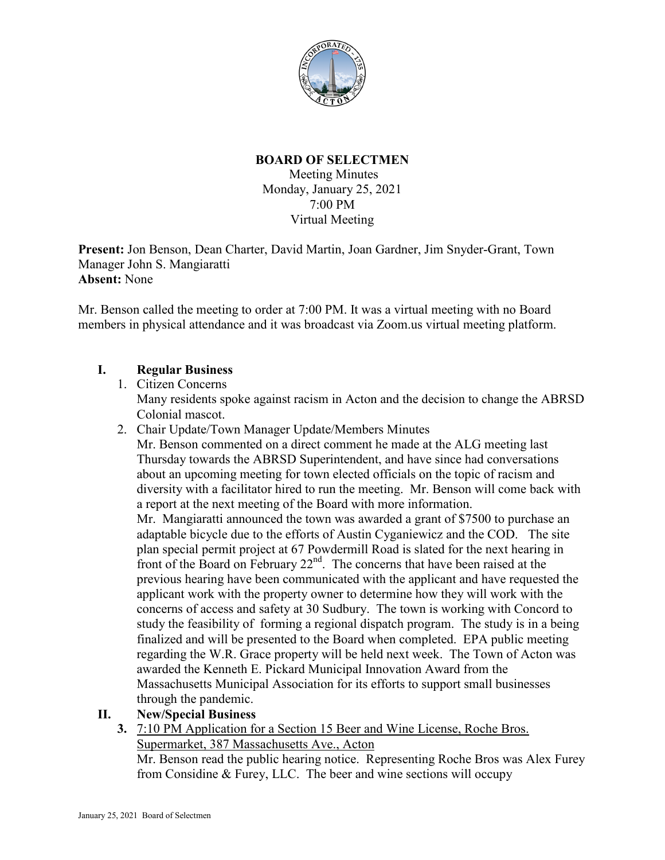

# **BOARD OF SELECTMEN**

Meeting Minutes Monday, January 25, 2021 7:00 PM Virtual Meeting

**Present:** Jon Benson, Dean Charter, David Martin, Joan Gardner, Jim Snyder-Grant, Town Manager John S. Mangiaratti **Absent:** None

Mr. Benson called the meeting to order at 7:00 PM. It was a virtual meeting with no Board members in physical attendance and it was broadcast via Zoom.us virtual meeting platform.

## **I. Regular Business**

- 1. Citizen Concerns Many residents spoke against racism in Acton and the decision to change the ABRSD Colonial mascot.
- 2. Chair Update/Town Manager Update/Members Minutes

Mr. Benson commented on a direct comment he made at the ALG meeting last Thursday towards the ABRSD Superintendent, and have since had conversations about an upcoming meeting for town elected officials on the topic of racism and diversity with a facilitator hired to run the meeting. Mr. Benson will come back with a report at the next meeting of the Board with more information.

Mr. Mangiaratti announced the town was awarded a grant of \$7500 to purchase an adaptable bicycle due to the efforts of Austin Cyganiewicz and the COD. The site plan special permit project at 67 Powdermill Road is slated for the next hearing in front of the Board on February  $22<sup>nd</sup>$ . The concerns that have been raised at the previous hearing have been communicated with the applicant and have requested the applicant work with the property owner to determine how they will work with the concerns of access and safety at 30 Sudbury. The town is working with Concord to study the feasibility of forming a regional dispatch program. The study is in a being finalized and will be presented to the Board when completed. EPA public meeting regarding the W.R. Grace property will be held next week. The Town of Acton was awarded the Kenneth E. Pickard Municipal Innovation Award from the Massachusetts Municipal Association for its efforts to support small businesses through the pandemic.

- **II. New/Special Business**
	- **3.** 7:10 PM Application for a Section 15 Beer and Wine License, Roche Bros. Supermarket, 387 Massachusetts Ave., Acton

Mr. Benson read the public hearing notice. Representing Roche Bros was Alex Furey from Considine & Furey, LLC. The beer and wine sections will occupy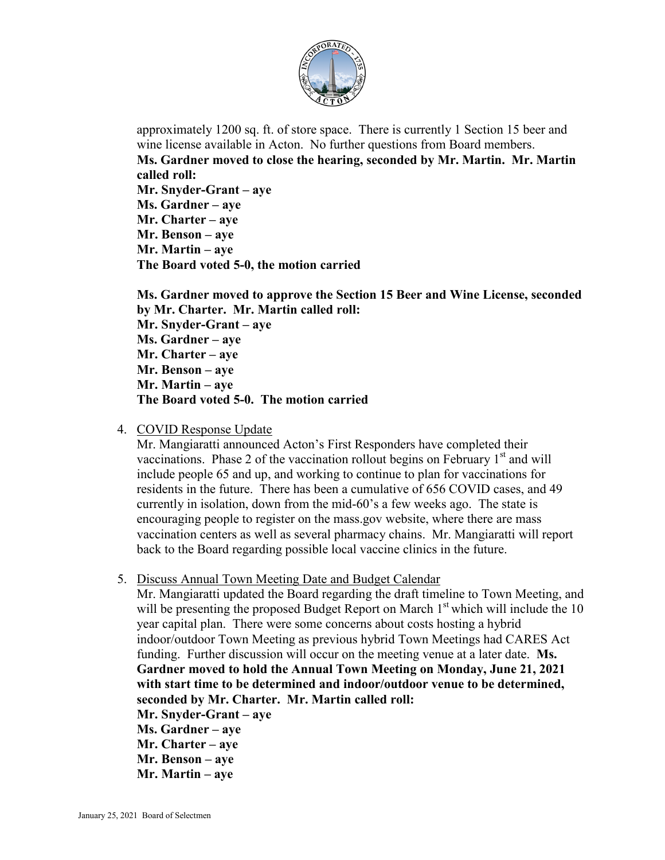

approximately 1200 sq. ft. of store space. There is currently 1 Section 15 beer and wine license available in Acton. No further questions from Board members. **Ms. Gardner moved to close the hearing, seconded by Mr. Martin. Mr. Martin called roll: Mr. Snyder-Grant – aye Ms. Gardner – aye Mr. Charter – aye Mr. Benson – aye Mr. Martin – aye The Board voted 5-0, the motion carried**

**Ms. Gardner moved to approve the Section 15 Beer and Wine License, seconded by Mr. Charter. Mr. Martin called roll: Mr. Snyder-Grant – aye Ms. Gardner – aye Mr. Charter – aye Mr. Benson – aye Mr. Martin – aye The Board voted 5-0. The motion carried**

4. COVID Response Update

Mr. Mangiaratti announced Acton's First Responders have completed their vaccinations. Phase 2 of the vaccination rollout begins on February  $1<sup>st</sup>$  and will include people 65 and up, and working to continue to plan for vaccinations for residents in the future. There has been a cumulative of 656 COVID cases, and 49 currently in isolation, down from the mid-60's a few weeks ago. The state is encouraging people to register on the mass.gov website, where there are mass vaccination centers as well as several pharmacy chains. Mr. Mangiaratti will report back to the Board regarding possible local vaccine clinics in the future.

5. Discuss Annual Town Meeting Date and Budget Calendar

Mr. Mangiaratti updated the Board regarding the draft timeline to Town Meeting, and will be presenting the proposed Budget Report on March  $1<sup>st</sup>$  which will include the 10 year capital plan. There were some concerns about costs hosting a hybrid indoor/outdoor Town Meeting as previous hybrid Town Meetings had CARES Act funding. Further discussion will occur on the meeting venue at a later date. **Ms. Gardner moved to hold the Annual Town Meeting on Monday, June 21, 2021 with start time to be determined and indoor/outdoor venue to be determined, seconded by Mr. Charter. Mr. Martin called roll:**

- **Mr. Snyder-Grant – aye Ms. Gardner – aye Mr. Charter – aye Mr. Benson – aye**
- **Mr. Martin – aye**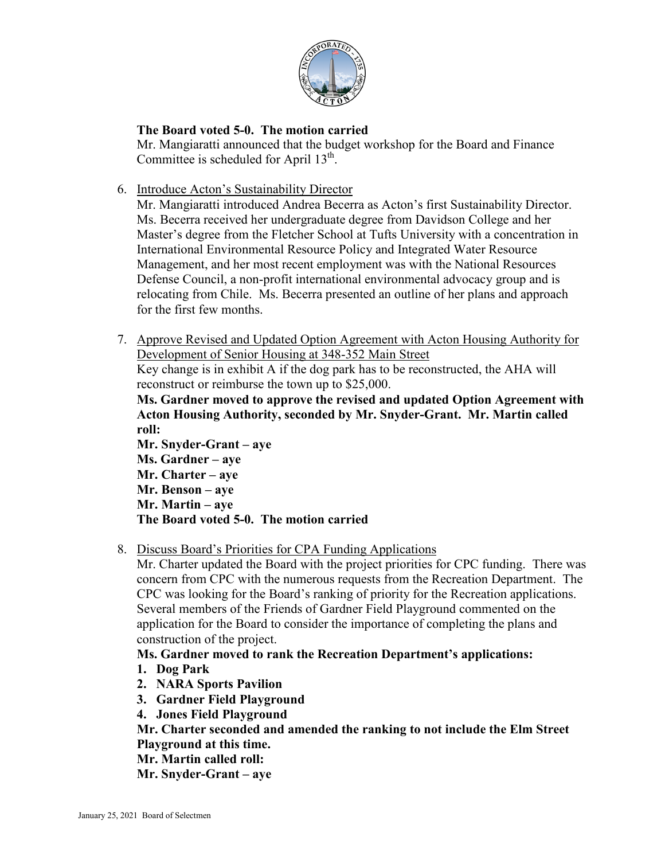

# **The Board voted 5-0. The motion carried**

Mr. Mangiaratti announced that the budget workshop for the Board and Finance Committee is scheduled for April  $13<sup>th</sup>$ .

6. Introduce Acton's Sustainability Director

Mr. Mangiaratti introduced Andrea Becerra as Acton's first Sustainability Director. Ms. Becerra received her undergraduate degree from Davidson College and her Master's degree from the Fletcher School at Tufts University with a concentration in International Environmental Resource Policy and Integrated Water Resource Management, and her most recent employment was with the National Resources Defense Council, a non-profit international environmental advocacy group and is relocating from Chile. Ms. Becerra presented an outline of her plans and approach for the first few months.

7. Approve Revised and Updated Option Agreement with Acton Housing Authority for Development of Senior Housing at 348-352 Main Street

Key change is in exhibit A if the dog park has to be reconstructed, the AHA will reconstruct or reimburse the town up to \$25,000.

**Ms. Gardner moved to approve the revised and updated Option Agreement with Acton Housing Authority, seconded by Mr. Snyder-Grant. Mr. Martin called roll:**

**Mr. Snyder-Grant – aye Ms. Gardner – aye Mr. Charter – aye Mr. Benson – aye Mr. Martin – aye The Board voted 5-0. The motion carried**

8. Discuss Board's Priorities for CPA Funding Applications

Mr. Charter updated the Board with the project priorities for CPC funding. There was concern from CPC with the numerous requests from the Recreation Department. The CPC was looking for the Board's ranking of priority for the Recreation applications. Several members of the Friends of Gardner Field Playground commented on the application for the Board to consider the importance of completing the plans and construction of the project.

# **Ms. Gardner moved to rank the Recreation Department's applications:**

- **1. Dog Park**
- **2. NARA Sports Pavilion**
- **3. Gardner Field Playground**
- **4. Jones Field Playground**

**Mr. Charter seconded and amended the ranking to not include the Elm Street Playground at this time.**

**Mr. Martin called roll:**

**Mr. Snyder-Grant – aye**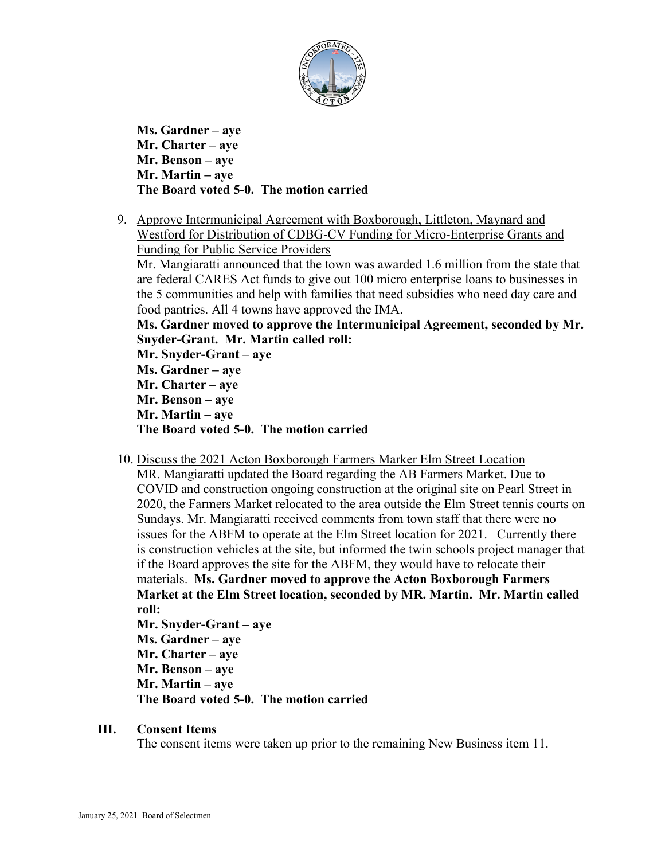

**Ms. Gardner – aye Mr. Charter – aye Mr. Benson – aye Mr. Martin – aye The Board voted 5-0. The motion carried**

9. Approve Intermunicipal Agreement with Boxborough, Littleton, Maynard and Westford for Distribution of CDBG-CV Funding for Micro-Enterprise Grants and Funding for Public Service Providers

Mr. Mangiaratti announced that the town was awarded 1.6 million from the state that are federal CARES Act funds to give out 100 micro enterprise loans to businesses in the 5 communities and help with families that need subsidies who need day care and food pantries. All 4 towns have approved the IMA.

**Ms. Gardner moved to approve the Intermunicipal Agreement, seconded by Mr. Snyder-Grant. Mr. Martin called roll:**

**Mr. Snyder-Grant – aye Ms. Gardner – aye Mr. Charter – aye Mr. Benson – aye Mr. Martin – aye The Board voted 5-0. The motion carried**

10. Discuss the 2021 Acton Boxborough Farmers Marker Elm Street Location

MR. Mangiaratti updated the Board regarding the AB Farmers Market. Due to COVID and construction ongoing construction at the original site on Pearl Street in 2020, the Farmers Market relocated to the area outside the Elm Street tennis courts on Sundays. Mr. Mangiaratti received comments from town staff that there were no issues for the ABFM to operate at the Elm Street location for 2021. Currently there is construction vehicles at the site, but informed the twin schools project manager that if the Board approves the site for the ABFM, they would have to relocate their materials. **Ms. Gardner moved to approve the Acton Boxborough Farmers Market at the Elm Street location, seconded by MR. Martin. Mr. Martin called roll:**

**Mr. Snyder-Grant – aye Ms. Gardner – aye Mr. Charter – aye Mr. Benson – aye Mr. Martin – aye The Board voted 5-0. The motion carried**

#### **III. Consent Items**

The consent items were taken up prior to the remaining New Business item 11.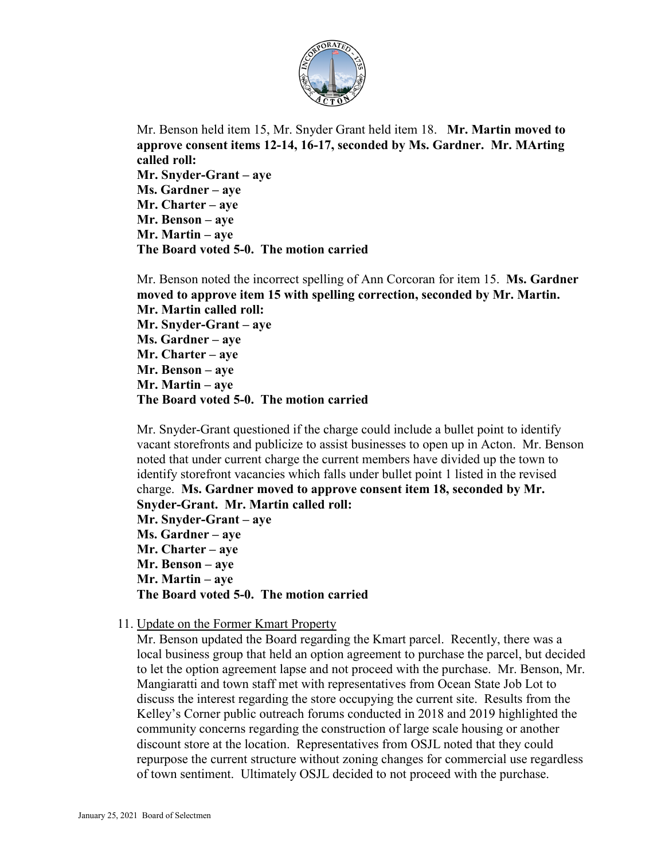

Mr. Benson held item 15, Mr. Snyder Grant held item 18. **Mr. Martin moved to approve consent items 12-14, 16-17, seconded by Ms. Gardner. Mr. MArting called roll: Mr. Snyder-Grant – aye Ms. Gardner – aye Mr. Charter – aye Mr. Benson – aye Mr. Martin – aye The Board voted 5-0. The motion carried**

Mr. Benson noted the incorrect spelling of Ann Corcoran for item 15. **Ms. Gardner moved to approve item 15 with spelling correction, seconded by Mr. Martin. Mr. Martin called roll: Mr. Snyder-Grant – aye Ms. Gardner – aye Mr. Charter – aye Mr. Benson – aye Mr. Martin – aye The Board voted 5-0. The motion carried**

Mr. Snyder-Grant questioned if the charge could include a bullet point to identify vacant storefronts and publicize to assist businesses to open up in Acton. Mr. Benson noted that under current charge the current members have divided up the town to identify storefront vacancies which falls under bullet point 1 listed in the revised charge. **Ms. Gardner moved to approve consent item 18, seconded by Mr. Snyder-Grant. Mr. Martin called roll: Mr. Snyder-Grant – aye Ms. Gardner – aye Mr. Charter – aye Mr. Benson – aye Mr. Martin – aye The Board voted 5-0. The motion carried**

11. Update on the Former Kmart Property

Mr. Benson updated the Board regarding the Kmart parcel. Recently, there was a local business group that held an option agreement to purchase the parcel, but decided to let the option agreement lapse and not proceed with the purchase. Mr. Benson, Mr. Mangiaratti and town staff met with representatives from Ocean State Job Lot to discuss the interest regarding the store occupying the current site. Results from the Kelley's Corner public outreach forums conducted in 2018 and 2019 highlighted the community concerns regarding the construction of large scale housing or another discount store at the location. Representatives from OSJL noted that they could repurpose the current structure without zoning changes for commercial use regardless of town sentiment. Ultimately OSJL decided to not proceed with the purchase.